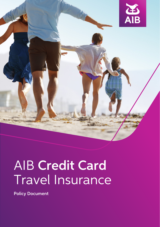

# AIB Credit Card Travel Insurance

Policy Document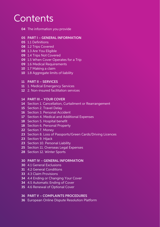# **Contents**

04 The information you provide

#### 05 PART I – GENERAL INFORMATION

- 05 1.1 Definitions
- 08 1.2 Trips Covered
- 08 1.3 Are You Eligible
- 09 1.4 Trips Not Covered
- 09 1.5 When Cover Operates for a Trip
- 09 1.6 Medical Requirements
- 10 1.7 Making a claim
- 10 1.8 Aggregate limits of liability

#### 11 PART II – SERVICES

- 11 1. Medical Emergency Services
- 12 2. Non-insured facilitation services

# 14 PART III – YOUR COVER

- 14 Section 1. Cancellation, Curtailment or Rearrangement
- 15 Section 2. Travel Delay
- 16 Section 3. Personal Accident
- 17 Section 4. Medical and Additional Expenses
- 18 Section 5. Hospital benefit
- 18 Section 6. Personal Property
- 22 Section 7. Money
- 23 Section 8. Loss of Passports/Green Cards/Driving Licences
- 23 Section 9. Hijack
- 23 Section 10. Personal Liability
- 25 Section 11. Overseas Legal Expenses
- 28 Section 12. Winter Sports

#### 30 PART IV – GENERAL INFORMATION

- 30 4.1 General Exclusions
- 31 4.2 General Conditions
- 33 4.3 Claim Provisions
- 34 4.4 Ending or Changing Your Cover
- 34 4.5 Automatic Ending of Cover
- 35 4.6 Renewal of Optional Cover

#### 36 PART V – COMPLAINTS PROCEDURES

36 European Online Dispute Resolution Platform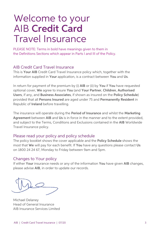# Welcome to your AIB Credit Card Travel Insurance

PLEASE NOTE: Terms in bold have meanings given to them in the Definitions Sections which appear in Parts I and III of the Policy.

# AIB Credit Card Travel Insurance

This is Your AIB Credit Card Travel Insurance policy which, together with the information supplied in Your application, is a contract between You and Us.

In return for payment of the premium by (i) AIB or (ii) by You if You have requested optional cover, We agree to insure You (and Your Partner, Children, Authorised Users, if any, and Business Associates, if shown as insured on the Policy Schedule) provided that all Persons Insured are aged under 75 and Permanently Resident in Republic of Ireland before travelling.

The insurance will operate during the Period of Insurance and whilst the Marketing Agreement between AIB and Us is in force in the manner and to the extent provided, and subject to the Terms, Conditions and Exclusions contained in the AIB Worldwide Travel Insurance policy.

# Please read your policy and policy schedule

The policy booklet shows the cover applicable and the Policy Schedule shows the most that We will pay for each benefit. If You have any questions please contact Us on 1800 24 24 67, Monday to Friday between 9am and 5pm.

# Changes to Your policy

If either Your insurance needs or any of the information You have given AIB changes, please advise AIB, in order to update our records.

Michael Delaney Head of General Insurance AIB Insurance Services Limited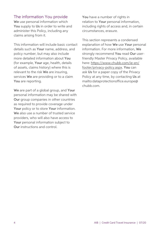# The information You provide

We use personal information which You supply to Us in order to write and administer this Policy, including any claims arising from it.

This information will include basic contact details such as Your name, address, and policy number, but may also include more detailed information about You (for example, Your age, health, details of assets, claims history) where this is relevant to the risk We are insuring, services We are providing or to a claim You are reporting.

We are part of a global group, and Your personal information may be shared with Our group companies in other countries as required to provide coverage under Your policy or to store Your information. We also use a number of trusted service providers, who will also have access to Your personal information subject to Our instructions and control.

You have a number of rights in relation to Your personal information, including rights of access and, in certain circumstances, erasure.

This section represents a condensed explanation of how We use Your personal information. For more information, We strongly recommend You read Our userfriendly Master Privacy Policy, available here: [https://www.chubb.com/ie-en/](https://www.chubb.com/ie-en/footer/privacy-policy.aspx) [footer/privacy-policy.aspx](https://www.chubb.com/ie-en/footer/privacy-policy.aspx). You can ask Us for a paper copy of the Privacy Policy at any time, by contacting Us at mailto:dataprotectionoffice.europe@ chubb.com.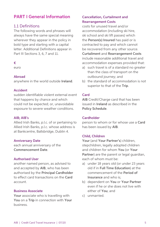# PART I General Information

# 1.1 Definitions

The following words and phrases will always have the same special meaning wherever they appear in the policy in bold type and starting with a capital letter. Additional Definitions appear in Part III Sections 3, 6, 7 and 11.

#### €

euro

#### Abroad

anywhere in the world outside Ireland.

#### Accident

sudden identifiable violent external event that happens by chance and which could not be expected; or, unavoidable exposure to severe weather conditions.

#### AIB; AIB's

Allied Irish Banks, p.l.c. of or pertaining to Allied Irish Banks, p.l.c. whose address is at Bankcentre, Ballsbridge, Dublin 4.

#### Anniversary Date

each annual anniversary of the Commencement Date.

#### Authorised User

another named person, as advised to and accepted by AIB, who has been authorised by the Principal Cardholder to effect card transactions on the Card account.

#### Business Associate

Your associate who is travelling with You on a Trip in connection with Your business.

# Cancellation, Curtailment and Rearrangement Costs

costs for unused travel and/or accommodation (including ski hire, ski school and ski lift passes) which the Person(s) Insured has paid or is contracted to pay and which cannot be recovered from any other source. Curtailment and Rearrangement Costs include reasonable additional travel and accommodation expenses provided that:

- a) such travel is of a standard no greater than the class of transport on the outbound journey; and
- b) the standard of accommodation is not superior to that of the Trip.

#### **Card**

AIB Credit/Charge card that has been issued in Ireland as described in the Policy Schedule.

#### **Cardholder**

person to whom or for whose use a Card has been issued by AIB.

#### Child, Children

Your (and Your Partner's) children, stepchildren, legally adopted children and children for whom You (or Your Partner) are the parent or legal guardian, each of whom must be:

- a) under 18 years old (or under 23 years old if in Full Time Education) at the commencement of the Period of Insurance and who is;
- b) dependent on You or Your Partner even if he or she does not live with either of You; and
- c) unmarried.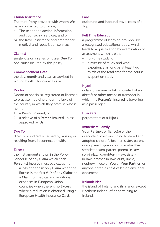#### Chubb Assistance

The third Party provider with whom We have contracted to provide;

- a) The telephone advice, information and counselling services; and or
- b) the travel assistance and emergency medical and repatriation services.

#### Claim(s)

single loss or a series of losses Due To one cause insured by this policy.

#### Commencement Date

the day, month and year, as advised in writing by AIB, for cover to start.

#### Doctor

Doctor or specialist, registered or licensed to practise medicine under the laws of the country in which they practise who is neither:

- 1. a Person Insured; or
- 2. a relative of a Person Insured unless approved by Us.

# Due To

directly or indirectly caused by, arising or resulting from, in connection with.

#### Excess

the first amount shown in the Policy Schedule of any Claim which each Person(s) Insured must pay except for:

- i. a loss of deposit only Claim when the Excess is the first €10 of any Claim; or
- ii. a Claim for medical and additional expenses in European Union countries when there is no Excess where a reduction is obtained using a European Health Insurance Card.

#### Fare

outbound and inbound travel costs of a Trip.

#### Full Time Education

a programme of learning provided by a recognised educational body, which leads to a qualification by examination or assessment which is either:

- full-time study; or
- a mixture of study and work experience as long as at least two thirds of the total time for the course is spent on study.

#### Hijack

unlawful seizure or taking control of an aircraft or other means of transport in which the **Person(s) Insured** is travelling as a passenger.

#### **Hijackers**

perpetrators of a Hijack.

#### Immediate Family

Your Partner, or fiancé(e) or the grandchild, child (including fostered and adopted children), brother, sister, parent, grandparent, grandchild, step-brother, stepsister, step-parent, parent-in-law, son-in-law, daughter-in-law, sisterin-law, brother-in-law, aunt, uncle, nephew, niece of You or Your Partner, or anyone noted as next of kin on any legal document.

#### Ireland; Irish

the island of Ireland and its islands except Northern Ireland; of or pertaining to Ireland.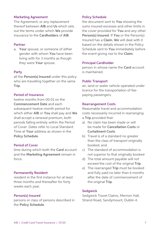#### Marketing Agreement

The Agreement, or any replacement thereof between AIB and Us which sets out the terms under which We provide Insurance to the Cardholders of AIB.

#### Partner

a. Your spouse; or someone of either gender with whom You have been living with for 3 months as though they were Your spouse.

#### Party

all the Person(s) Insured under this policy who are travelling together on the same Trip.

#### Period of Insurance

twelve months from 00.01 on the Commencement Date and each subsequent twelve-month period for which either AIB or You shall pay and We shall accept a renewal premium, both periods falling entirely within the Period of Cover. Dates refer to Local Standard Time at Your address as shown in the Policy Schedule.

#### Period of Cover

time during which both the **Card** account and the Marketing Agreement remain in force.

#### Permanently Resident

resident in the first instance for at least three months and thereafter for forty weeks each year.

#### Person(s) Insured

persons or class of persons described in the Policy Schedule.

#### Policy Schedule

the document sent to You showing the sums insured excesses and other limits in the cover provided for You and any other Person(s) Insured. If You or the Person(s) Insured has a Claim, We will deal with it based on the details shown in the Policy Schedule sent to You immediately before the event giving rise to the Claim.

#### Principal Cardholder

person in whose name the Card account is maintained.

#### Public Transport

air, land or water vehicle operated under licence for the transportation of feepaying passengers.

#### Rearrangement Costs

Reasonable travel and accommodation costs necessarily incurred in rearranging a Trip provided that:

- a) No claim has been made or will be made for Cancellation Costs or Curtailment Costs
- b) Travel is of a standard no greater than the class of transport originally booked; and
- c) The standard of accommodation is not superior to that originally booked
- d) The total amount payable will not exceed the cost of the original Trip
- e) The rearranged Trip must be booked and fully paid no later than 6 months after the date of commencement of the original Trip.

#### **Sedawick**

Sedgwick Travel Claims, Merrion Hall, Strand Road, Sandymount, Dublin 4.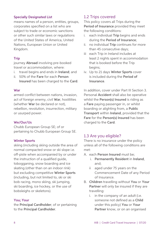#### Specially Designated List

means names of a person, entities, groups, corporates specified on a list who are subject to trade or economic sanctions or other such similar laws or regulations of the United States of America, United Nations, European Union or United Kingdom.

#### Trip

journey Abroad involving pre-booked travel or accommodation, where:

- i. travel begins and ends in Ireland; and
- ii. 50% of the Fare for each Person Insured has been charged to the Card.

#### War

armed conflict between nations, invasion, act of foreign enemy, civil War, hostilities (whether War be declared or not), rebellion, revolution, insurrection, military or usurped power.

#### We/Our/Us

Chubb European Group SE; of or pertaining to Chubb European Group SE.

#### Winter Sports

skiing (including skiing outside the area of normal compacted snow or ski slope i.e. off-piste when accompanied by or under the instruction of a qualified guide, tobogganing, snow boarding and ice skating (other than on an indoor rink) but excluding competitive Winter Sports (including, but not limited to, ski or ski bob racing, mono skiing, ski jumping, ski boarding, ice hockey, or the use of bobsleighs or skeletons).

#### You; Your

the Principal Cardholder; of or pertaining to the Principal Cardholder.

# 1.2 Trips covered

This policy covers all Trips during the Period of Insurance provided they meet the following conditions:

- i. each individual Trip begins and ends during the Period of Insurance;
- ii. no individual Trip continues for more than 45 consecutive days;
- iii each Trip in Ireland includes at least 2 nights spent in accommodation that is booked before the Trip begins;
- iv. Up to 21 days Winter Sports cover is included during the Period of Insurance.

In addition, cover under Part III Section 3. Personal Accident shall also be operative whilst the Person(s) Insured is riding as a Fare paying passenger in, or whilst boarding or alighting from, a Public Transport within Ireland, provided that the Fare for the Person(s) Insured has been charged to the Card.

# 1.3 Are you eligible?

There is no insurance under the policy unless all of the following conditions are met:

- A. each Person Insured must be;
	- i. Permanently Resident in Ireland, and;
	- aged under 75 years on the Commencement Date of any Period of Insurance.
- B. Children travelling without You or Your Partner will only be insured if they are travelling:
	- i. in the company of an adult (i.e. someone not defined as a Child under this policy) You or Your Partner know, or on an organised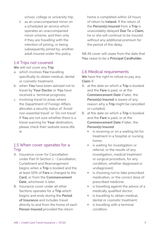school, college or university trip;

ii. as an unaccompanied minor on a scheduled air service which operates an unaccompanied minor scheme, and then only if they are travelling with the intention of joining, or being subsequently joined by, another adult insured under this policy.

# 1.4 Trips not covered

We will not cover any Trip

- a. which involves You travelling specifically to obtain medical, dental or cosmetic treatment;
- b. when You have been advised not to travel by Your Doctor or You have received a terminal prognosis;
- c. involving travel to areas where the Department of Foreign Affairs allocates a security status of 'Avoid non-essential travel' or 'Do not travel'. If You are not sure whether there is a travel warning for Your destination, please check their website [www.dfa.](http://www.dfa.ie) [ie](http://www.dfa.ie)

# 1.5 When cover operates for a **Trip**

- A. Insurance cover for Cancellation under Part III Section 1 - Cancellation, Curtailment and Rearrangement begins when a Trip is booked and the at least 50% of Fare is charged to the Card, or from the Commencement Date, whichever is later.
- B. Insurance cover under all other Sections operates for a Trip which begins and ends during the Period of Insurance and includes travel directly to and from the home of each Person Insured provided the return

home is completed within 24 hours of return to Ireland. If the return of the Person(s) Insured from a Trip is unavoidably delayed Due To a Claim, he or she will continue to be insured without any additional premium for the period of the delay.

NB All cover will cease from the date that You cease to be a Principal Cardholder.

# 1.6 Medical requirements

We have the right to refuse to pay any Claim if:

- A. at the date on which a Trip is booked and the Fare is paid, or at the Commencement Date if later, the Person(s) Insured is aware of any reason why a Trip might be cancelled or curtailed;
- B. at the date on which a Trip is booked and the Fare is paid, or at the Commencement Date if later, the Person(s) Insured
	- is receiving or on a waiting list for treatment in a hospital or nursing home;
	- is waiting for investigation or referral, or the results of any investigation, medical treatment or surgical procedure, for any condition, whether diagnosed or undiagnosed;
	- is choosing not to take prescribed medication, or the correct dose of prescribed medicine.
	- is travelling against the advice of a medically qualified doctor;
	- is travelling to obtain medical. dental or cosmetic treatment;
	- is travelling with a terminal condition.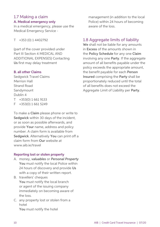# 1.7 Making a claim

#### A. Medical emergency only

In a medical emergency, please use the Medical Emergency Service -

T +353 (0) 1 4402792

(part of the cover provided under Part III Section 4 MEDICAL AND ADDITIONAL EXPENSES) Contacting Us first may delay treatment

#### B. all other Claims

Sedgwick Travel Claims Merrion Hall Strand Road Sandymount Dublin 4 T +353(0) 1 661 9133 F +353(0) 1 661 5249

To make a Claim please phone or write to Sedgwick within 30 days of the incident, or as soon as possible afterwards, and provide Your name, address and policy number. A claim form is available from Sedgwick. Alternatively You can print off a claim form from Our website at www.aib.ie/travel

#### Reporting lost or stolen property

- A. money, *valuables* or *Personal Property* You must notify the local Police within 24 hours of discovery and provide Us with a copy of their written report.
- B. travellers' cheques You must notify the local branch or agent of the issuing company immediately on becoming aware of the loss.
- C. any property lost or stolen from a hotel You must notify the hotel

management (in addition to the local Police) within 24 hours of becoming aware of the loss.

# 1.8 Aggregate limits of liability

We shall not be liable for any amounts in Excess of the amounts shown in the Policy Schedule for any one Claim involving any one Party. If the aggregate amount of all benefits payable under the policy exceeds the appropriate amount, the benefit payable for each Person Insured comprising the Party shall be proportionately reduced until the total of all benefits does not exceed the Aggregate Limit of Liability per Party.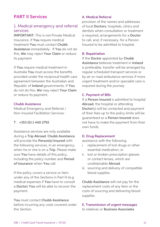# PART II Services

# 1. Medical emergency and referral services

IMPORTANT: This is not Private Medical Insurance. If You require medical treatment You must contact Chubb Assistance immediately. If You do not do this, We may reject Your Claim or reduce its payment.

If You require medical treatment in Australia You must access the benefits provided under the reciprocal health care agreement between the Australian and Republic of Ireland governments. If You do not do this, We may reject Your Claim or reduce its payment.

#### Chubb Assistance

Medical Emergency and Referral / Non-Insured Facilitation Services :

#### T +353 (0) 1 440 2792

Assistance services are only available during a Trip Abroad. Chubb Assistance will provide the Person(s) Insured with the following services, in an emergency, when he or she is on a Trip. Please make sure You have details of this policy, including the policy number and Period of Insurance when You call.

If the policy covers a service or item under any of the Sections in Part III (e.g. medical expenses if You have to consult a Doctor) You will be able to recover the payment.

You must contact Chubb Assistance before incurring any costs covered under this Section.

#### A. Medical Referral

provision of the names and addresses of local Doctors, hospitals, clinics and dentists when consultation or treatment is required, arrangements for a Doctor to call, and, if necessary, for a Person Insured to be admitted to hospital.

#### B. Repatriation

If the Doctor appointed by Chubb Assistance believes treatment in Ireland is preferable, transfer will be arranged by regular scheduled transport services or by air or road ambulance services if more urgent treatment and/or specialist care is required during the journey.

#### C. Payment of Bills

If a Person Insured is admitted to hospital Abroad, the hospital or attending Doctor(s) will be contacted and payment of their fees up to the policy limits will be guaranteed so a Person Insured does not have to make the payment from their own funds.

#### D. Drug Replacement

assistance with the following:

- i. replacement of lost drugs or other essential medication; or
- ii. lost or broken prescription glasses or contact lenses, which are unobtainable Abroad
- iii. sourcing and delivery of compatible blood supplies.

Chubb Assistance will not pay for the replacement costs of any item or the costs of sourcing and delivering blood supplies.

E. Transmission of urgent messages to relatives or Business Associates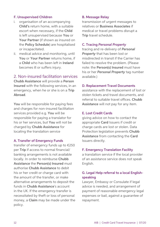#### F. Unsupervised Children

- i. organisation of an accompanying Child's return home, with a suitable escort when necessary, if the Child is left unsupervised because You or Your Partner (if shown as insured on the Policy Schedule) are hospitalised or incapacitated.
- ii. medical advice and monitoring, until You or Your Partner returns home, if a Child who has been left in Ireland becomes ill or suffers injury.

# 2. Non-insured facilitation services

Chubb Assistance will provide a Person Insured with the following services, in an emergency, when he or she is on a Trip Abroad.

You will be responsible for paying fees and charges for non-insured facilitation services provided e.g. You will be responsible for paying a translator for his or her services, but You will not be charged by Chubb Assistance for locating the translation service

#### A. Transfer of Emergency Funds

transfer of emergency funds up to €250 per Trip if access to normal financial/ banking arrangements is not available locally. In order to reimburse Chubb Assistance the Person(s) Insured must authorise Chubb Assistance to debit his or her credit or charge card with the amount of the transfer, or make alternative arrangements to deposit the funds in Chubb Assistance's account in the UK. If the emergency transfer is necessitated by theft or loss of personal money, a Claim may be made under the policy.

#### B. Message Relay

transmission of urgent messages to relatives or Business Associates if medical or travel problems disrupt a Trip travel schedule.

#### C. Tracing *Personal Property*

tracing and re-delivery of *Personal Property* that has been lost or misdirected in transit if the Carrier has failed to resolve the problem. (Please note: the Person(s) Insured must have his or her *Personal Property* tag number available.)

#### D. Replacement Travel Documents

assistance with the replacement of lost or stolen tickets and travel documents, and referral to suitable travel offices. Chubb Assistance will not pay for any item.

#### E. Lost Credit Cards

giving advice on how to contact the appropriate Card Issuers if credit or charge cards are lost or stolen. Data Protection legislation prevents Chubb Assistance from contacting the Card Issuers directly.

#### F. Emergency Translation Facility

a translation service if the local provider of an assistance service does not speak English.

#### G. Legal Help referral to a local Englishspeaking

Lawyer, Embassy or Consulate if legal advice is needed, and arrangement of payment of reasonable emergency legal expenses or bail, against a guarantee of repayment.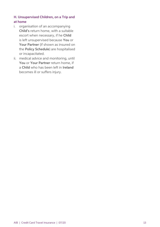# H. Unsupervised Children, on a Trip and at home

- i. organisation of an accompanying Child's return home, with a suitable escort when necessary, if he Child is left unsupervised because You or Your Partner (if shown as insured on the Policy Schedule) are hospitalised or incapacitated.
- ii. medical advice and monitoring, until You or Your Partner return home, if a Child who has been left in Ireland becomes ill or suffers injury.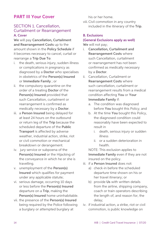# PART III Your Cover

# SECTION 1. Cancellation, Curtailment or Rearrangement A. Cover

We will pay Cancellation, Curtailment and Rearrangement Costs up to the amount shown in the Policy Schedule if it becomes necessary to cancel, curtail or rearrange a Trip Due To:

- i. the death, serious injury, sudden illness or complications in pregnancy as diagnosed by a Doctor who specialises in obstetrics of the Person(s) Insured or Immediate Family ; or
- ii. the compulsory quarantine on the order of a treating Doctor of the Person(s) Insured provided that such Cancellation, curtailment or rearrangement is confirmed as medically necessary by a Doctor.
- iii. a Person Insured being delayed for at least 24 hours on the outbound or return leg of the Trip because the scheduled departure of the Public Transport is affected by adverse weather, industrial action, strike, riot or civil commotion or mechanical breakdown or derangement.
- iv. jury service or subpoena of the Person(s) Insured or the Hijacking of the conveyance in which he or she is travelling.
- v. unemployment of the Person(s) Insured which qualifies for payment under any applicable statute;
- vi. serious damage, occurring 10 days or less before the Person(s) Insured departure on a Trip, making the Person(s) Insured home uninhabitable.
- vii. the presence of the Person(s) Insured being required by the Police following a burglary or attempted burglary at

his or her home.

viii. Civil commotion in any country included in the itinerary of the Trip.

## B. Exclusions

#### (General Exclusions apply as well) We will not pay;

- i. Cancellation, Curtailment and Rearrangement Costs where such Cancellation, curtailment or rearrangement has not been confirmed as medically necessary by a Doctor.
- ii. Cancellation, Curtailment or Rearrangement Costs where such cancellation, curtailment or rearrangement results from a medical condition affecting You or Your Immediate Family if:
	- a. The condition was diagnosed before You bought this Policy; and
	- b. At the time You bought this Policy. the diagnosed condition could reasonably have been expected to result in
		- i. death, serious injury or sudden illness
		- ii. or a sudden deterioration in health.

NOTE: This exclusion applies to Immediate Family even if they are not insured on the policy.

- iii. if a Person Insured does not:
	- a) check-in before the scheduled departure time shown on his or her travel itinerary; or
	- b) provide Us with written details from the airline, shipping company, coach or train operators describing the length of, and reason for, the delay;
- iv. if industrial action, a strike, riot or civil commotion, is public knowledge on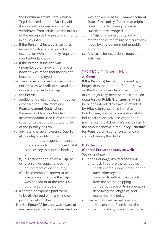the Commencement Date when a Trip is booked and the Fare is paid.

- v. if an aircraft, sea vessel or train is withdrawn from service on the orders of the recognised regulatory authority in any country.
- vi. if the Person(s) Insured is called as an expert witness or if his or her occupation would normally require a court attendance, or
- vii. if the Person(s) Insured was unemployed or knew at the time a booking was made that they might become unemployed, or
- viii. if any other adverse financial situation necessitates Cancellation, curtailment or rearrangement of a Trip.
- ix. the Excess.
- x. additional travel and accommodation expenses for Curtailment and Rearrangement Costs where the means of transport and/or accommodation used is of a standard superior to that of the outbound leg of the journey or Trip.
- xi. any loss, charge or expense Due To;
	- a) a delay in notifying the tour operator, travel agent, or transport or accommodation provider that it is necessary to cancel a booking; or
	- b) disinclination to go on a Trip; or
	- c) prohibitive regulations by the government of any country.
	- d) civil commotion known to be in existence at the time the Trip was booked or at the time You purchased the policy;
- xii. a charge or expense paid for or to be discharged with any kind of promotional voucher.
- xiii. if the Person(s) Insured was aware of any reason, either at the time the Trip

was booked or at the Commencement Date of this policy if later, that might result in the Trip being cancelled, curtailed or rearranged.

- xiv. if a Trip is cancelled, curtailed or rearranged as the result of regulations made by any government or public authority.
- xv. Any costs for excursions, tours and activities.

# SECTION 2. Travel delay A. Cover

If the Person(s) Insured is delayed by or longer than the number of hours shown on the Policy Schedule on the outbound or return journey because the scheduled departure of **Public Transport** in which he or she intended to travel is affected by Hijack, terrorist act, criminal act, bomb scare, riot, civil commotion, strike, industrial action, adverse weather or mechanical breakdown, We will pay up to the amount shown in the Policy Schedule for items purchased for sustenance or comfort during the delay.

#### B. Exclusions

#### (General Exclusions apply as well)

We will not pay:

- i. if the Person(s) Insured does not:
	- a) check-in before the scheduled check-in time shown on his or her travel itinerary; or
	- b) provide Us with written details from the airline, shipping company, coach or train operators describing the length of, and reason for, the delay.
- ii. if an aircraft, sea vessel coach or train is taken out of service on the instructions of any Government, Civil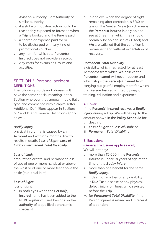Aviation Authority, Port Authority or similar authority.

- iii. if a strike or industrial action could be reasonably expected or foreseen when a Trip is booked and the Fare is paid.
- iv. a charge or expense paid for or to be discharged with any kind of promotional voucher.
- v. any item for which the Person(s) Insured does not provide a receipt.
- vi. Any costs for excursions, tours and activities.

# SECTION 3. Personal accident **DEFINITIONS**

The following words and phrases will have the same special meaning in this Section wherever they appear in bold italic type and commence with a capital letter. Additional Definitions appear in Sections 6, 7 and 11 and General Definitions apply as well.

# *Bodily Injury*

physical injury that is caused by an Accident and within 12 months directly results in death, *Loss of Sight*, *Loss of Limb* or *Permanent Total Disability*.

#### *Loss of Limb*

amputation or total and permanent loss of use of one or more hands at or above the wrist or of one or more feet above the ankle (talo-tibial joint).

#### *Loss of Sight*

loss of sight:

a. in both eyes when the Person(s) Insured name has been added to the NCBI register of Blind Persons on the authority of a qualified ophthalmic specialist.

b. in one eye when the degree of sight remaining after correction is 3/60 or less on the Snellen Scale (which means the Person(s) Insured is only able to see at 3 feet that which they should normally be able to see at 60 feet) and We are satisfied that the condition is permanent and without expectation of recovery.

#### *Permanent Total Disability*

a disability which has lasted for at least 12 months from which We believe the Person(s) Insured will never recover and which stops the Person(s) Insured from carrying out gainful employment for which that Person Insured is fitted by way of training, education and experience.

# A. Cover

If the Person(s) Insured receives a *Bodily Injury* during a Trip, We will pay up to the amount shown in the Policy Schedule for:

- i. death; or
- ii. *Loss of Sight* or *Loss of Limb*; or
- iii. *Permanent Total Disability*.

# B. Exclusions

#### (General Exclusions apply as well)

We will not pay:

- more than  $€5,000$  if the Person(s) Insured is under 18 years of age at the time of the *Bodily Injury*.
- ii. more than one benefit for the same *Bodily Injury*.
- iii. if death or any loss or any disability is Due To: a disease or any physical defect, injury or illness which existed before the Trip.
- iv. for *Permanent Total Disability* if the Person Injured is retired and in receipt of a pension.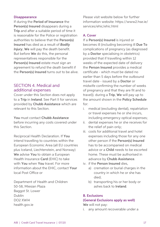#### **Disappearance**

If during the Period of Insurance the Person(s) Insured disappears during a Trip and after a suitable period of time it is reasonable for the Police or registration authorities to believe that the Person(s) Insured has died as a result of *Bodily Injury*, We will pay the death benefit. But before We do this, the personal representatives responsible for the Person(s) Insured estate must sign an agreement to refund the death benefit if the Person(s) Insured turns out to be alive.

# SECTION 4. Medical and additional expenses

Cover under this Section does not apply to a Trip in Ireland. See Part II for services provided by Chubb Assistance which are relevant to this Section.

You must contact Chubb Assistance before incurring any costs covered under this Section.

Reciprocal Health Declaration. If You intend travelling to countries within the European Economic Area (all EU countries plus Iceland, Liechtenstein, and Norway) We advise You to obtain a European Health Insurance Card (EHIC) to take with You when You travel. For more information about the EHIC, contact Your local Post Office or

Department of Health and Children 50-58, Miesian Plaza Baggot St. Lower Dublin DO2 XWI4 health.gov.ie

Please visit website below for further information website: https://www2.hse.ie/ services/ehic/ehic.html

#### A. Cover

If a Person(s) Insured is injured or becomes ill (including becoming ill Due To complications of pregnancy (as diagnosed by a **Doctor** specialising in obstetrics) provided that if travelling within 12 weeks of the expected date of delivery the Person Insured provides a medical certificate - which must be dated no earlier than 5 days before the outbound travel date - issued by a Doctor or midwife confirming the number of weeks of pregnancy and that they are fit and to travel)). during a Trip, We will pay up to the amount shown in the Policy Schedule for:

- i. medical (excluding dental), repatriation or travel expenses he or she incurs, including emergency optical expenses;
- ii. dental expenses he or she receives for the relief of pain only;
- iii. costs for additional travel and hotel expenses including those for any one other person if the Person(s) Insured has to be accompanied on medical advice or a Child needs to be escorted home. These must be authorised in advance by Chubb Assistance.
- iv. if the Person Insured dies,
	- a) cremation or burial charges in the country in which he or she has died;
	- b) transporting his or her body or ashes back to Ireland.

#### B. Exclusions

#### (General Exclusions apply as well)

We will not pay:

any amount recoverable under a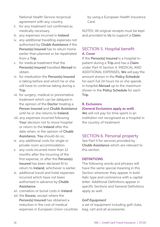National Health Service reciprocal agreement with any country.

- ii. for any treatment not confirmed as medically necessary.
- iii. any expenses incurred in **Ireland**.
- iv. any additional travelling expenses not authorised by Chubb Assistance if the Person(s) Insured has to return home earlier than planned or be repatriated from a Trip.
- v. for medical treatment that the Person(s) Insured travelled Abroad to obtain.
- vi. for medication the Person(s) Insured is taking before and which he or she will have to continue taking during a Trip.
- vii. for surgery, medical or preventative treatment which can be delayed in the opinion of the Doctor treating a Person Insured and Chubb Assistance until he or she returns to Ireland;
- viii. any expenses incurred following Your decision not to move hospital or return to the Ireland after the date when, in the opinion of Chubb Assistance, You should do so;
- ix. any additional costs for single or private room accommodation.
- x. any costs incurred more than 12 months after the incurring of the first expense, or after the Person(s) Insured has been declared fit to return to Ireland, whichever is earlier.
- xi. additional travel and hotel expenses incurred which have not been authorised in advance by Chubb Assistance.
- xii. cremation or burial costs in Ireland.
- xiii. the Excess, except where the Person(s) Insured has obtained a reduction in the cost of medical expenses in European Union countries

by using a European Health Insurance Card.

NOTES: All original receipts must be kept and provided to Us to support a Claim.

# SECTION 5. Hospital benefit A. Cover

If the Person(s) Insured is a hospital inpatient during a Trip and has a Claim under Part III Section 4. MEDICAL AND ADDITIONAL EXPENSES, We will pay the amount shown in the Policy Schedule for each full 24 hours he or she spends in hospital Abroad up to the maximum shown in the Policy Schedule for each Trip.

### B. Exclusions (General Exclusions apply as well)

We will not pay for time spent in an institution not recognised as a hospital in the country of treatment.

# SECTION 6. Personal property

See Part II for services provided by Chubb Assistance which are relevant to this section.

#### **DEFINITIONS**

The following words and phrases will have the same special meaning in this Section wherever they appear in bold italic type and commence with a capital letter: Additional Definitions appear in specific Sections and General Definitions apply as well.

#### *Golf Equipment*

a set of equipment including golf clubs, bag, cart and all accessories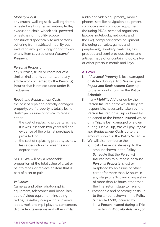### *Mobility Aid(s)*

any crutch, walking stick, walking frame, wheeled walking frame, walking trolley, evacuation chair, wheelchair, powered wheelchair or mobility scooter constructed specifically to aid persons suffering from restricted mobility but excluding any golf buggy or golf trolley or any item covered under *Personal Property*.

#### *Personal Property*

any suitcase, trunk or container of a similar kind and its contents, and any article worn or carried by the Person(s) Insured that is not excluded under B. Exclusions.

#### *Repair and Replacement Costs*

the cost of repairing partially damaged property, or, if property is totally lost or destroyed or uneconomical to repair either;

- i. the cost of replacing property as new if it was less than two years old and evidence of the original purchase is provided, or
- ii. the cost of replacing property as new less a deduction for wear, tear or depreciation.

NOTE: We will pay a reasonable proportion of the total value of a set or pair to repair or replace an item that is part of a set or pair.

#### *Valuables*

Cameras and other photographic equipment, telescopes and binoculars, audio / video equipment (including radios, cassette / compact disc players, ipods, mp3 and mp4 players, camcorders, dvd, video, televisions and other similar

audio and video equipment), mobile phones, satellite navigation equipment, computers and computer equipment (including PDAs, personal organisers, laptops, notebooks, netbooks and the like), computer games equipment (including consoles, games and peripherals), jewellery, watches, furs, precious and semi precious stones and articles made of or containing gold, silver or other precious metals and keys.

#### A. Cover

- i. If *Personal Property* is lost, damaged or stolen during a Trip, We will pay *Repair and Replacement Costs* up to the amount shown in the Policy Schedule.
- ii. If any *Mobility Aid* owned by the Person Insured or for which they are responsible, necessarily taken by the Person Insured on a Trip or hired by or loaned to the Person Insured whilst on a Trip, is lost, damaged or stolen during such a Trip, We will pay *Repair and Replacement Costs* up to the amount shown in the Policy Schedule.
- iii. We will also reimburse the:
	- a) cost of essential items up to the amount shown in the Policy Schedule that the Person(s) Insured has to purchase because *Personal Property* is lost or misplaced by an airline or other carrier for more than 12 hours in any stage of a Trip involving a stay of more than 12 hours other than the final return stage to Ireland.
	- b) reasonable and necessary costs up to the amount shown in the Policy Schedule €500, incurred by
		- i. a Person Insured during a Trip, in hiring, *Mobility Aids*; and/or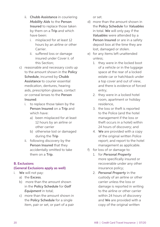- ii. Chubb Assistance in couriering *Mobility Aids* to the Person Insured to replace those taken by them on a Trip and which have been:
	- i. misplaced for at least 12 hours by an airline or other **Carrier**
	- ii. suffered loss or damage insured under Cover ii. of this Section;
- c) reasonable and necessary costs up to the amount shown in the Policy Schedule, incurred by Chubb Assistance to courier essential medication, dentures, hearing aids, prescription glasses, contact or corneal lenses to the Person Insured:
	- i. to replace those taken by the Person Insured on a Trip and which have:
		- a) been misplaced for at least 12 hours by an airline or other carrier
		- b) otherwise lost or damaged during the Trip
	- ii. following discovery by the Person Insured that they accidentally omitted to take them on a Trip.

# B. Exclusions

# (General Exclusions apply as well)

- i. We will not pay:
	- a) the Excess.
	- b) more than the amount shown in the Policy Schedule for *Golf Equipment* in total;
	- c) more than the amount shown in the Policy Schedule for a single item, pair or set, or part of a pair

or set.

- d) more than the amount shown in the Policy Schedule for *Valuables* in total. We will only pay if the *Valuables* were attended by a Person Insured or are in a safety deposit box at the time they are lost, damaged or stolen.
- e) for any items left unattended unless;
	- 1. they were in the locked boot of a vehicle or in the luggage space at the rear of a locked estate car or hatchback under a top cover and out of view, and there is evidence of forced entry;
	- 2. they were in a locked hotel room, apartment or holiday residence,
	- 3. the loss or theft is reported to the Police (and the hotel management if the loss or theft occurs in a hotel) within 24 hours of discovery; and
	- 4. We are provided with a copy of the original written Police report; and report to the hotel management as applicable.
- f) for loss of or damage to:
	- 1. for *Personal Property* more specifically insured or recoverable under any other insurance policy;
	- 2. *Personal Property* in the custody of an airline or other carrier unless the loss or damage is reported in writing to the airline or other carrier within 24 hours of discovery and We are provided with a copy of the original written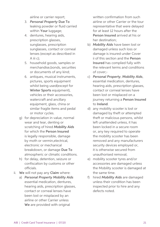airline or carrier report;

- 3. *Personal Property* Due To leaking powder or fluid carried within Your luggage;
- 4. dentures, hearing aids, prescription glasses, sunglasses, prescription sunglasses, contact or corneal lenses (except as described in A iii c);
- 5. household goods, samples or merchandise,bonds, securities or documents of any kind;
- 6. antiques, musical instruments, pictures, sports equipment whilst being used(except for Winter Sports equipment), vehicles or their accessories, watercraft and ancillary equipment, glass, china or similar fragile items and pedal or motor cycles.
- g) for depreciation in value, normal wear and tear, denting or scratching of hired *Mobility Aids* for which the Person Insured is legally responsible, damage by moth or vermin,electrical, electronic or mechanical breakdown, or damage Due To atmospheric or climatic conditions.
- h) for delay, detention, seizure or confiscation by customs or other officials.
- ii. We will not pay any Claim where:
	- a) *Personal Property Mobility Aids* essential medication, dentures, hearing aids, prescription glasses, contact or corneal lenses have been lost or misplaced by an airline or other Carrier unless We are provided with original

written confirmation from such airline or other Carrier or the tour representative that were delayed for at least 12 hours after the Person Insured arrived at his or her destination;

- b) *Mobility Aids* have been lost or damaged unless such loss or damage is insured under Cover ii of this section and the Person Insured has complied fully with the relevant terms and conditions of cover;-
- c) *Personal Property*, *Mobility Aids*, essential medication, dentures, hearing aids, prescription glasses, contact or corneal lenses have been lost or misplaced on a journey returning a Person Insured to Ireland.
- d) any mobility scooter is lost or damaged by theft or attempted theft or malicious persons, whilst left unattended unless, it has been locked in a secure room or, any key required to operate the mobility scooter has been removed and any manufacturers security devices employed or, it is otherwise secured from unauthorised removal;
- e) mobility scooter tyres and/or accessories are damaged unless the Mobility scooter is damaged at the same time.
- f) hired *Mobility Aids* are damaged unless their condition has been inspected prior to hire and any defects noted.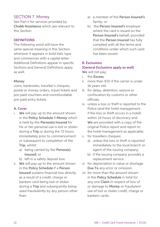# SECTION 7. Money

See Part II for services provided by Chubb Assistance which are relevant to this Section.

#### **DEFINITIONS**

The following word will have the same special meaning in this Section wherever it appears in bold italic type and commences with a capital letter. Additional Definitions appear in specific Sections and General Definitions apply as well.

#### *Money*

coins, banknotes, traveller's cheques, postal or money orders, travel tickets and pre-paid vouchers and nonrefundable pre-paid entry tickets.

#### A. Cover

- i. We will pay up to the amount shown in the Policy Schedule if *Money* which is held by the Person(s) Insured for his or her personal use is lost or stolen during a Trip or during the 72 hours immediately prior to commencement or subsequent to completion of the Trip, whilst:
	- a) being carried by the Person(s) Insured; or
	- b) left in a safety deposit box.
- ii. We will pay up to the amount shown in the Policy Schedule if a Person Insured sustains financial loss directly as a result of a credit, charge or bankers card being lost or stolen during a Trip and subsequently being used fraudulently by any person other than:
- a) a member of the Person Insured's family; or
- b) the Person Insured's employer where the card is issued on the Person Insured's behalf; provided that the Person Insured has fully complied with all the terms and conditions under which such card has been issued.

#### B. Exclusions

#### (General Exclusions apply as well)

We will not pay;

- i the **Excess**
- ii. more than €50 if the carrier is under 16 years old.
- iii. for delay, detention, seizure or confiscation by customs or other officials.
- iv. unless a loss or theft is reported to the Police (and the hotel management if the loss or theft occurs in a hotel) within 24 hours of discovery and We are provided with a copy of the original Police report and report to the hotel management as applicable.
- v. for travellers cheques:
	- a) unless the loss or theft is reported immediately to the local branch or agent of the issuing company;
	- b) if the issuing company provides a replacement service.
- vi. for depreciation in value or shortage Due To any error or omission.
- vii. for more than the amount shown in the Policy Schedule in total for any one Claim in respect of loss of or damage to *Money* or fraudulent use of lost or stolen credit, charge or bankers cards.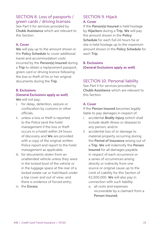# SECTION 8. Loss of passports / green cards / driving licenses

See Part II for services provided by Chubb Assistance which are relevant to this Section.

### A. Cover

We will pay up to the amount shown in the Policy Schedule to cover additional travel and accommodation costs incurred by the Person(s) Insured during a Trip to obtain a replacement passport, green card or driving licence following the loss or theft of his or her original documents during the Trip.

#### B. Exclusions

# (General Exclusions apply as well)

We will not pay;

- i. for delay, detention, seizure or confiscation by customs or other officials.
- ii. unless a loss or theft is reported to the Police (and the hotel management if the loss or theft occurs in a hotel) within 24 hours of discovery and We are provided with a copy of the original written Police report and report to the hotel management as applicable.
- iii. for documents stolen from an unattended vehicle unless they were in the locked boot of the vehicle or in the luggage space at the rear of a locked estate car or hatchback under a top cover and out of view, and there is evidence of forced entry;
- iv. the Excess.

# SECTION 9. Hijack A. Cover

If the Person(s) Insured is held hostage by Hijackers during a Trip, We will pay the amount shown in the Policy Schedule for each full 24 hours he or she is held hostage up to the maximum amount shown in the Policy Schedule for each Trip.

B. Exclusions (General Exclusions apply as well)

# SECTION 10. Personal liability

See Part II for services provided by Chubb Assistance which are relevant to this Section.

#### A. Cover

If the Person Insured becomes legally liable to pay damages in respect of:

- i. accidental *Bodily Injury* (which shall include death illness or disease) to any person; and/or
- ii. accidental loss of or damage to material property occurring during the Period of Insurance arising out of a Trip. We will indemnify the Person Insured for all damages payable in respect of each occurrence or a series of occurrences arising directly or indirectly from one source or original cause up to the Limit of Liability for this Section of €2,500,000. We will also pay in connection with such liability:
	- a. all costs and expenses recoverable by a claimant from a Person Insured;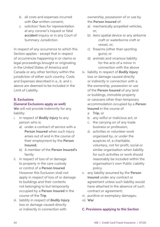- b. all costs and expenses incurred with **Our** written consent:
- c. solicitors' fees for representation at any coroner's inquest or fatal accident inquiry or in any Court of Summary Jurisdiction.

In respect of any occurrence to which this Section applies - except that in respect of occurrences happening in or claims or legal proceedings brought or originating in the United States of America and Canada or any other territory within the jurisdiction of either such country, Costs and Expenses described in a., b. and c. above are deemed to be included in the Limit of Liability.

#### B. Exclusions

## (General Exclusions apply as well)

We will not provide indemnity for any liability:

- i. in respect of *Bodily Injury* to any person who is:
	- a) under a contract of service with a Person Insured when such injury arises out of and in the course of their employment by the Person Insured;
	- b) A member of the Person Insured's family
- ii. in respect of loss of or damage to property in the care custody or control of a Person Insured. However this Exclusion shall not apply in respect of loss of or damage to buildings and their contents not belonging to but temporarily occupied by a Person Insured in the course of the Trip.
- iii. liability in respect of *Bodily Injury* loss or damage caused directly or indirectly in connection with

ownership, possession of or use by the Person Insured of:

- a) mechanically propelled vehicles, or;
- b) Aero spatial device or any airborne craft or waterborne craft or vessel, or;
- c) firearms (other than sporting guns); or
- d) animals and vicarious liability for the acts of a minor in connection with the above
- iv. liability in respect of *Bodily Injury* loss or damage caused directly or indirectly in connection with a. the ownership, possession or use of the Person Insured of any land or buildings, immobile property or caravans other than temporary accommodation occupied by a Person Insured in the course of
	- a Trip; or
	- b. any wilful or malicious act; or
	- c. the carrying on of any trade business or profession;
	- d. activities or volunteer work organised by, or under the auspices of, a charitable, voluntary, not for profit, social or similar organisation when liability for such activities or work should reasonably be included within the organisation's own Public Liability policy.
- v. any liability assumed by the Person Insured under any contract or agreement unless such liability would have attached in the absence of such contract or agreement;
- vi. punitive or exemplary damages; vii. War

# C. Provisions applying to this Section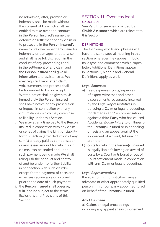- i. no admission, offer, promise or indemnity shall be made without the consent of Us which shall be entitled to take over and conduct in the Person Insured's name the defence or settlement of any claim or to prosecute in the Person Insured's name for its own benefit any claim for indemnity or damages or otherwise and shall have full discretion in the conduct of any proceedings and in the settlement of any claim and the Person Insured shall give all information and assistance as We may require. Every letter, claim, writ, summons and process shall be forwarded to Us on receipt. Written notice shall be given to Us immediately the Person Insured shall have notice of any prosecution or inquest in connection with any circumstances which may given rise to liability under this Section. ii. We may at any time pay to the Person Insured in connection with any claim or series of claims the Limit of Liability
- for this Section (after deduction of any sum(s) already paid as compensation) or any lesser amount for which such claim(s) can be settled and upon such payment being made We shall relinquish the conduct and control of and be under no further liability in connection with such claim(s) except for the payment of costs and expenses recoverable or incurred prior to the date of such payment.
- iii. the **Person Insured** shall observe. fulfil and be subject to the terms. Exclusions and Provisions of this Section.

# SECTION 11. Overseas legal expenses

See Part II for services provided by Chubb Assistance which are relevant to this Section.

#### **DEFINITIONS**

The following words and phrases will have the same special meaning in this section wherever they appear in bold italic type and commence with a capital letter. Additional Definitions appear in Sections 3, 6 and 7 and General Definitions apply as well.

## *Legal Expenses*

- a) fees, expenses, costs/expenses of expert witnesses and other disbursements reasonably incurred by the *Legal Representatives* in pursuing a Claim or legal proceedings for damages and/or compensation against a third Party who has caused Accidental *Bodily Injury* to or illness of the Person(s) Insured or in appealing or resisting an appeal against the judgement of a Court, tribunal or arbitrator.
- b) costs for which the Person(s) Insured is legally liable following an award of costs by a Court or tribunal or out of Court settlement made in connection with any **Claim** or legal proceedings.

# *Legal Representatives*

the solicitor, firm of solicitors, lawyer, advocate or other appropriately qualified person firm or company appointed to act on behalf of the Person(s) Insured.

# *Any One Claim*

all Claims or legal proceedings including any appeal against judgement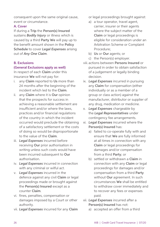consequent upon the same original cause, event or circumstance.

#### A. Cover

If during a Trip the Person(s) Insured sustains *Bodily Injury* or illness which is caused by a third Party We will pay up to the benefit amount shown in the Policy Schedule to cover *Legal Expenses* arising out of *Any One Claim*.

# B. Exclusions

## (General Exclusions apply as well)

In respect of each Claim under this insurance We will not pay for:

- i. any Claim reported to Us more than 24 months after the beginning of the incident which led to the Claim.
- ii. any Claim where it is Our opinion that the prospects for success in achieving a reasonable settlement are insufficient and/or where the laws, practices and/or financial regulations of the country in which the incident occurred would preclude the obtaining of a satisfactory settlement or the costs of doing so would be disproportionate to the value of the Claim.
- iii. *Legal Expenses* incurred before receiving Our prior authorisation in writing unless such costs would have been incurred subsequent to Our authorisation.
- iv. *Legal Expenses* incurred in connection with any criminal or wilful act.
- v. *Legal Expenses* incurred in the defence against any civil Claim or legal proceedings made or brought against the Person(s) Insured except as a counter Claim.
- vi. fines, penalties, compensation or damages imposed by a Court or other authority.
- vii. *Legal Expenses* incurred for any Claim

or legal proceedings brought against:

- a) a tour operator, travel agent, carrier, insurer or their agents where the subject matter of the Claim or legal proceedings is eligible for consideration under an Arbitration Scheme or Complaint Procedure;
- b) Us or Our agents; or
- c) the Person(s) employer.
- viii. actions between Persons Insured or pursued in order to obtain satisfaction of a judgement or legally binding decision.
- ix. *Legal Expenses* incurred in pursuing any Claim for compensation (either individually or as a member of a group or class action) against the manufacturer, distributor or supplier of any drug, medication or medicine.
- x. *Legal Expenses* chargeable by the *Legal Representatives* under contingency fee arrangements.
- xi. *Legal Expenses* incurred where the Person(s) Insured has:
	- a) failed to co-operate fully with and ensure that We are fully informed at all times in connection with any Claim or legal proceedings for damages and/or compensation from a third Party; or
	- b) settled or withdrawn a Claim in connection with any Claim or legal proceedings for damages and/or compensation from a third Party without Our agreement. In such circumstances We shall be entitled to withdraw cover immediately and to recover any fees or expenses paid.
- xii. *Legal Expenses* incurred after a Person(s) Insured has not:
	- a) accepted an offer from a third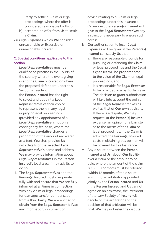Party to settle a Claim or legal proceedings where the offer is considered reasonable by Us; or

- b) accepted an offer from Us to settle a Claim.
- xiii. *Legal Expenses* which We consider unreasonable or Excessive or unreasonably incurred.

## C. Special conditions applicable to this section

- i. *Legal Representatives* must be qualified to practise in the Courts of the country where the event giving rise to the Claim occurred or where the proposed defendant under this Section is resident.
- ii. the Person Insured has the right to select and appoint a *Legal Representative* of their choice to represent them in any legal inquiry or legal proceedings (provided any appointment of a *Legal Representative* is not on a contingency fee basis, where the *Legal Representative* charges a proportion of the amount recovered as a fee). You shall provide Us with details of the selected *Legal Representative*'s name and address. We may provide information about *Legal Representatives* in the Person Insured's local area if they ask Us to do so.
- iii. The *Legal Representatives* and the Person(s) Insured must co-operate fully with and ensure that We are fully informed at all times in connection with any claim or legal proceedings for damages and/or compensation from a third Party. We are entitled to obtain from the *Legal Representatives* any information, document or

advice relating to a Claim or legal proceedings under this Insurance. On request the Person(s) Insured will give to the *Legal Representatives* any instructions necessary to ensure such access.

- iv. Our authorisation to incur *Legal Expenses* will be given if the Person(s) Insured can satisfy Us that:
	- a. there are reasonable grounds for pursuing or defending the Claim or legal proceedings and the *Legal Expenses* will be proportionate to the value of the Claim or legal proceedings; and
	- b. it is reasonable for *Legal Expenses* to be provided in a particular case. The decision to grant authorisation will take into account the opinion of the *Legal Representatives* as well as that of Our own advisers. If there is a dispute, We may request, at the Person(s) Insured expense, an opinion of a barrister as to the merits of the Claim or legal proceedings. If the Claim is admitted, the Person(s) Insured costs in obtaining this opinion will be covered by this Insurance.
- v. Any dispute between the Person Insured and Us (about Our liability over a claim or the amount to be paid, where the amount of the claim is €5,000 or more) must be referred (within 12 months of the dispute arising) to an arbitrator appointed jointly by the Person Insured and Us. If the Person Insured and Us cannot agree on an arbitrator, the President of the Law Society of Ireland will decide on the arbitrator and the decision of that arbitrator will be final. We may not refer the dispute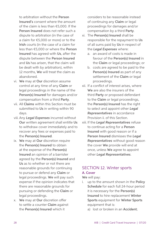to arbitration without the Person Insured's consent where the amount of the claim is less than €5,000. If the Person Insured does not refer such a dispute to arbitration (in the case of a claim for €5,000 or more) or to the Irish courts (in the case of a claim for less than €5,000 or where the Person Insured has agreed with Us, after the dispute between the Person Insured and Us has arisen, that the claim will be dealt with by arbitration), within 12 months. We will treat the claim as abandoned.

- vi. We may at Our discretion assume control at any time of any Claim or legal proceedings in the name of the Person(s) Insured for damages and/or compensation from a third Party.
- vii. All Claims within this Section must be submitted to Us in writing within 90 days.
- viii. Any *Legal Expenses* incurred without Our written agreement shall entitle Us to withdraw cover immediately and to recover any fees or expenses paid to the Person(s) Insured.
- ix. We may at Our discretion require the Person(s) Insured to obtain at the expense of the Person(s) Insured an opinion of a barrister agreed by the Person(s) Insured and Us as to whether or not there are reasonable grounds for continuing to pursue or defend any Claim or legal proceedings. We will pay such expense if the opinion indicates that there are reasonable grounds for pursuing or defending the Claim or legal proceedings.
- x. We may at Our discretion offer to settle a counter Claim against the Person(s) Insured which it

considers to be reasonable instead of continuing any Claim or legal proceedings for damages and/or compensation by a third Party.

- xi. The Person(s) Insured shall be responsible for the repayment to Us of all sums paid by Us in respect of the *Legal Expenses* where:
	- a. an award of costs is made in favour of the Person(s) Insured in the Claim or legal proceedings; or
	- b. costs are agreed to be paid to the Person(s) Insured as part of any settlement of the Claim or legal proceedings.
- xii. If a conflict of interest arises, where We are also the insurers of the third Party or proposed defendant to the Claim or legal proceedings, the Person(s) Insured has the right to select and appoint other *Legal Representatives* in accordance Provision ii. of this Section.
- xiii. If the *Legal Representatives* refuse to continue acting for a Person Insured with good reason or if a Person Insured dismisses the *Legal Representatives* without good reason the cover We provide will end at once, unless We agree to appoint other *Legal Representatives*.

# SECTION 12. Winter sports A. Cover

We will pay:

- i. up to the amount shown in the Policy Schedule for each full 24-hour period it is necessary for the Person(s) Insured to hire replacement Winter Sports equipment for Winter Sports equipment that is:
	- a) lost or broken in an Accident;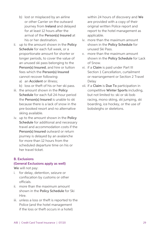- b) lost or misplaced by an airline or other Carrier on the outward journey from Ireland and delayed for at least 12 hours after the arrival of the Person(s) Insured at his or her destination.
- ii. up to the amount shown in the Policy Schedule for each full week, or a proportionate amount for shorter or longer periods, to cover the value of an unused ski pass belonging to the Person(s) Insured, and hire or tuition fees which the Person(s) Insured cannot recover following:
	- a) an Accident or illness;
	- b) loss or theft of his or her ski pass.
- iii. the amount shown in the Policy Schedule for each full 24-hour period the Person(s) Insured is unable to ski because there is a lack of snow in the pre-booked resort and no alternative skiing available.
- iv. up to the amount shown in the Policy Schedule for additional and necessary travel and accommodation costs if the Person(s) Insured outward or return journey is delayed by an avalanche for more than 12 hours from the scheduled departure time on his or her travel ticket.

#### B. Exclusions

#### (General Exclusions apply as well)

We will not pay:

- i. for delay, detention, seizure or confiscation by customs or other officials.
- ii. more than the maximum amount shown in the Policy Schedule for Ski Hire.
- iii. unless a loss or theft is reported to the Police (and the hotel management if the loss or theft occurs in a hotel)

within 24 hours of discovery and We are provided with a copy of their original written Police report and report to the hotel management as applicable.

- iv. more than the maximum amount shown in the Policy Schedule for unused Ski Pass.
- v. more than the maximum amount shown in the Policy Schedule for Lack of Snow.
- vi. if a Claim is paid under Part III Section 1 Cancellation, curtailment or rearrangement or Section 2 Travel Delay
- vii. if a Claim is Due To participation in competitive Winter Sports including, but not limited to: ski or ski bob racing, mono skiing, ski jumping, ski boarding, ice hockey, or the use of bobsleighs or skeletons.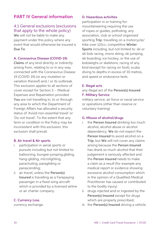# PART IV General information

# 4.1 General exclusions (exclusions that apply to the whole policy)

We will not be liable to make any payment under this policy where any event that would otherwise be insured is Due To:

#### A. Coronavirus Disease (COVID-19)

Claims of any kind directly or indirectly arising from, relating to or in any way connected with the Coronavirus Disease 19 (COVID-19) (or any mutation or variation thereof) and / or its outbreak. This exclusion applies to all sections of cover except for Section 5 – Medical Expenses and Repatriation provided You are not travelling in, to or through any area to which the Department of Foreign Affairs has allocated a security status of 'Avoid non-essential travel' or 'Do not travel'. To the extent that any term or condition in the Policy may be inconsistent with this exclusion, this exclusion shall prevail.

#### B. Air travel & Air sports

- i. participation in aerial sports or pursuits including but not limited to: ballooning, bungee-jumping,gliding, hang-gliding, microlighting, parachuting, paragliding or parascending;
- ii. air travel, unless the Person(s) Insured is travelling as a Farepaying passenger in a fixed wing aircraft which is provided by a licensed airline or air charter company.

#### C. Currency Loss

currency exchange.

#### D. Hazardous activities

participation in or training for: mountaineering requiring the use of ropes or guides; potholing; any association, club or school organised sporting Trip; travelling on a motorcycle/ trike over 125cc: competitive Winter Sports including, but not limited to: ski or ski bob racing, mono skiing, ski jumping, ski boarding, ice hockey, or the use of bobsleighs or skeletons; racing of any kind (except for racing on foot); scuba diving to depths in excess of 30 metres, and speed or endurance tests.

#### E. Illegal acts

any illegal act of the Person(s) Insured. F. Military Service

military service, air force or naval service or operations (other than reserve or voluntary training)

#### G. Misuse of alcohol/drugs

- i. the Person Insured drinking too much alcohol, alcohol abuse or alcohol dependency. We do not expect the Person Insured to avoid alcohol on a Trip, but We will not cover any claims arising because the Person Insured has drank so much alcohol that their judgement is seriously affected and the Person Insured needs to make a claim as a result (for example any medical report or evidence showing excessive alcohol consumption which in the opinion of a Qualified Medical Practitioner has caused or contributed to the bodily injury)
- ii. drugs injected and or ingested by the Person(s) Insured except for drugs which are properly prescribed:
- iii. the Person(s) Insured driving a vehicle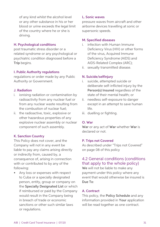of any kind whilst the alcohol level or any other substance in his or her blood or urine exceeds the legal limit of the country where he or she is driving.

#### H. Psychological conditions

post traumatic stress disorder or a related syndrome or any psychological or psychiatric condition diagnosed before a Trip begins.

#### I. Public Authority regulations

regulations or order made by any Public Authority or Government.

#### J. Radiation

- i. ionising radiation or contamination by radioactivity from any nuclear fuel or from any nuclear waste resulting from the combustion of nuclear fuel;
- ii. the radioactive, toxic, explosive or other hazardous properties of any explosive nuclear assembly or nuclear component of such assembly.

#### K. Sanction Country

This Policy does not cover, and the Company will not in any event be liable to pay any claims arising directly or indirectly from, caused by, a consequence of, arising in connection with or contributed to by any of the following:

• Any loss or expenses with respect to Cuba or a specially designated person, entity, group or company on the Specially Designated List or which if reimbursed or paid by the Company would result in the Company being in breach of trade or economic sanctions or other such similar laws or regulations.

#### L. Sonic waves

pressure waves from aircraft and other airborne devices travelling at sonic or supersonic speeds.

#### M. Specified diseases

- i. infection with Human Immune Deficiency Virus (HIV) or other forms of the virus, Acquired Immune Deficiency Syndrome (AIDS) and AIDS-Related Complex (ARC);
- ii. sexually transmitted disease.

#### N. Suicide/selfinjury

- i. suicide, attempted suicide or deliberate self-inflicted injury by the Person(s) Insured regardless of the state of their mental health; or
- ii. needless self-exposure to danger except in an attempt to save human life.
- iii. duelling or fighting.

#### O. War

War or any act of War whether War is declared or not.

#### P. Trips not Covered

As described under "Trips not Covered" on page 08 of this policy

# 4.2 General conditions (conditions that apply to the whole policy)

We will not be liable to make any payment under this policy where any event that would otherwise be insured is Due To:

#### A. Contract

This policy, the Policy Schedule and any information provided in Your application will be read together as one contract.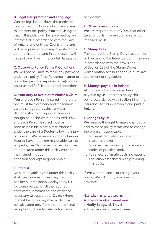#### B. Legal Interpretation and Language

Current legislation allows the parties to this contract to choose which law is used to interpret this policy. You and Us agree that: i. this policy will be governed by and interpreted in accordance with the Law of Ireland and only the Courts of Ireland will have jurisdiction in any dispute; and ii. communication of and in connection with this policy will be in the English language.

#### C. Observing Policy Terms & Conditions

We will not be liable to make any payment under this policy if the Person(s) Insured or his or her personal representative(s) do not observe and fulfil its terms and conditions.

#### D. Your duty to avoid or minimise a Claim

You and each Person Insured if more than one must take ordinary and reasonable care to safeguard against any loss, damage, Accident, injury or illness as though he or she were not insured. You and each Person Insured must as soon as possible place himself/herself under the care of a Doctor following injury or illness. If We believe You or any Person Insured have not taken reasonable care of property, the Claim may not be paid. The items insured under this policy must be maintained in good condition and kept in good repair.

#### E. Interest

No sum payable by Us under this policy shall carry interest unless payment has been unreasonably delayed by Us following receipt of all the required certificates, information and evidence necessary to support the Claim. Where interest becomes payable by Us it will be calculated only from the date of final receipt of such certificates, information

or evidence.

#### F. Other taxes or costs

We are required to notify You that other taxes or costs may exist which are not imposed by Us.

#### G. Stamp Duty

The appropriate Stamp Duty has been or will be paid to the Revenue Commissioners in accordance with the provisions of Section 125 of the Stamp Duties Consolidation Act 1999 or any future law, enactment or regulation.

#### H. Moneys payable in Ireland

All moneys which become due and payable by Us under this policy shall being accordance with Section 93 of the Insurance Act 1936, payable and paid in Ireland.

#### I. Changes by Us

We reserve the right to make changes or add to these policy terms and to change the premiums applicable:

- i. for legal, regulatory or taxation reasons; and/or
- ii. to reflect new industry guidance and codes of practice; and/or
- iii. to reflect legitimate costs increases or reduction associated with providing this policy.

If We want to cancel or change your policy, We will notify you one month in advance.

# 4.3 Claims provisions A. The Person(s) Insured must:

i. Notify Sedgwick Travel advise Sedgwick Travel Claims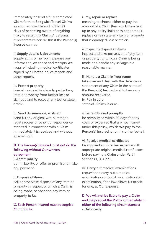immediately or send a fully completed Claim form to Sedgwick Travel Claims as soon as possible and within 30 days of becoming aware of anything likely to result in a Claim. A personal representative can do this if the Person(s) Insured cannot.

#### ii. Supply details & documents

supply at his or her own expense any information, evidence and receipts We require including medical certificates signed by a Doctor, police reports and other reports.

#### iii. Protect property

take all reasonable steps to protect any item or property from further loss or damage and to recover any lost or stolen article.

#### iv. Send Us summons, writs etc

send Us any original writ, summons, legal process or other correspondence received in connection with a Claim immediately it is received and without answering it.

#### B. The Person(s) Insured must not do the following without Our written agreement:

#### i. Admit liability

admit liability, or offer or promise to make any payment.

#### ii. Dispose of items

sell or otherwise dispose of any item or property in respect of which a Claim is being made, or abandon any item or property to Us.

## C. Each Person Insured must recognise Our right to:

#### i. Pay, repair or replace

meaning to choose either to pay the amount of a Claim (less any Excess and up to any policy limit) or to either repair, replace or reinstate any item or property that is damaged, lost or stolen.

#### ii. Inspect & dispose of items

inspect and take possession of any item or property for which a Claim is being made and handle any salvage in a reasonable manner.

#### iii. Handle a Claim in Your name

take over and deal with the defence or settlement of any Claim in the name of the Person(s) Insured and to keep any amount recovered.

iv. Pay in euro settle all Claims in euro.

#### v. Be reimbursed promptly

be reimbursed within 30 days for any costs or expenses that are not insured under this policy, which We pay to the Person(s) Insured, or on his or her behalf.

#### vi. Receive medical certificates

be supplied at his or her expense with appropriate original medical certifi cates before paying a Claim under Part II Sections 1, 3, 4 or 5.

# vii. Carry out medical examinations

request and carry out a medical examination and insist on a postmortem examination, if the law allows Us to ask for one, at Our expense.

# D. We will not be liable to pay a Claim and may cancel the Policy immediately in either of the following circumstances: i. Dishonesty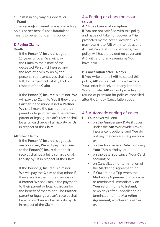a Claim is in any way dishonest; or ii. Fraud

if the Person(s) Insured or anyone acting on his or her behalf, uses fraudulent means to benefit under this policy.

# E. Paying Claims

#### Death

- i. If the Person(s) Insured is aged 18 years or over, We will pay the Claim to the estate of the deceased Person(s) Insured and the receipt given to Us by the personal representatives shall be a full discharge of all liability by Us in respect of the Claim.
- ii. If the Person(s) Insured is a minor, We will pay the Claim to You if they are a Partner. If the minor is not a Partner. We shall make the payment to their parent or legal guardian. The Partner, parent or legal guardian's receipt shall be a full discharge of all liability by Us in respect of the Claim.

# All other Claims

- i. If the Person(s) Insured is aged 18 years or over, We will pay the Claim to the Person(s) Insured and their receipt shall be a full discharge of all liability by Us in respect of the Claim.
- ii. If the Person(s) Insured is a minor We will pay the Claim to that minor if they are a Partner. If the minor is not a Partner We shall make the payment to their parent or legal guardian for the benefit of that minor. The Partner, parent or legal guardian's receipt shall be a full discharge of all liability by Us in respect of the Claim.

# 4.4 Ending or changing Your cover

# A. 14 day Cancellation option

If You are not satisfied with this policy and have not taken or booked a Trip protected by the cover provided, You may return it to AIB within 14 days and AIB will cancel it. If this happens, the policy will have provided no cover and AIB will refund any premiums You have paid.

## B. Cancellation after 14 days

If You write and tell AIB to cancel this policy, AIB will cancel it from the date Your letter is received or any later date You stipulate. AIB will not provide any refund of premium for policies cancelled after the 14 day Cancellation option.

# 4.5 Automatic ending of cover

- i. Your cover will end
	- on the Anniversary Date if cover under the AIB Worldwide Travel Insurance is optional and You do not pay the new annual premium; or
	- on the Anniversary Date following Your 75th birthday; or
	- on the date You cancel Your Card account; or
	- on Cancellation or termination of the Marketing Agreement; or
	- if You are on a Trip when the Marketing Agreement is cancelled or terminated, immediately on Your return home to Ireland, or 45 days after Cancellation or termination of the Marketing Agreement, whichever is earlier: or,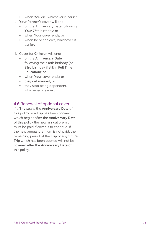- when You die, whichever is earlier.
- ii. Your Partner's cover will end:
	- on the Anniversary Date following Your 75th birthday; or
	- when Your cover ends; or
	- when he or she dies, whichever is earlier.
- iii. Cover for Children will end:
	- on the Anniversary Date following their 18th birthday (or 23rd birthday if still in Full Time Education); or
	- when **Your** cover ends: or
	- they get married; or
	- they stop being dependent, whichever is earlier.

# 4.6 Renewal of optional cover

If a Trip spans the Anniversary Date of this policy or a Trip has been booked which begins after the Anniversary Date of this policy the new annual premium must be paid if cover is to continue. If the new annual premium is not paid, the remaining period of the Trip or any future Trip which has been booked will not be covered after the Anniversary Date of this policy.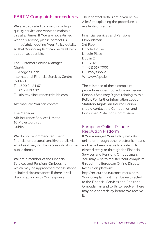# PART V Complaints procedures

We are dedicated to providing a high quality service and wants to maintain this at all times. If You are not satisfied with this service, please contact Us immediately, quoting Your Policy details, so that Your complaint can be dealt with as soon as possible.

The Customer Service Manager Chubb 5 George's Dock International Financial Services Centre Dublin 1 T 1800 24 24 67

- 
- F 01 440 1701
- E aib.travelinsurance@chubb.com

Alternatively You can contact:

The Manager AIB Insurance Services Limited 10 Molesworth St Dublin 2

We do not recommend You send financial or personal sensitive details via email as it may not be secure whilst in the public domain.

We are a member of the Financial Services and Pensions Ombudsman, which may be approached for assistance in limited circumstances if there is still dissatisfaction with Our response.

Their contact details are given below. A leaflet explaining the procedure is available on request.

Financial Services and Pensions Ombudsman 3rd Floor Lincoln House Lincoln Place Dublin 2 D02 VH29 T (01) 567 7000 E info@fspo.ie W www.fspo.ie

The existence of these complaint procedures does not reduce an Insured Person's Statutory Rights relating to this Policy. For further information about Statutory Rights, an Insured Person should contact the Competition and Consumer Protection Commission.

## European Online Dispute Resolution Platform

If You arranged Your Policy with Us online or through other electronic means, and have been unable to contact Us either directly or through the Financial Services and Pensions Ombudsman, You may wish to register Your complaint through the European Online Dispute Resolution platform: http://ec.europa.eu/consumers/odr/. Your complaint will then be re-directed to the Financial Services and Pensions Ombudsman and to Us to resolve. There may be a short delay before We receive

it.